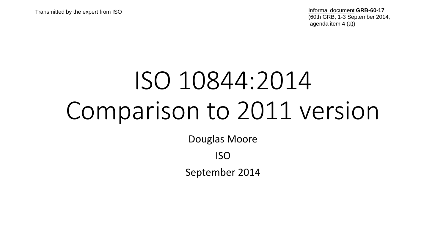Transmitted by the expert from ISO **Informal document GRB-60-17** (60th GRB, 1-3 September 2014, agenda item 4 (a))

## ISO 10844:2014 Comparison to 2011 version

Douglas Moore

ISO

September 2014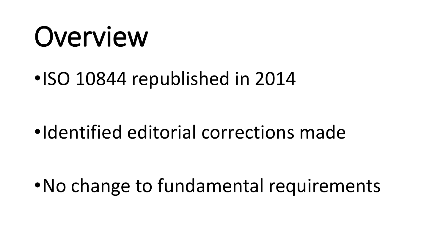## Overview

## •ISO 10844 republished in 2014

## •Identified editorial corrections made

•No change to fundamental requirements